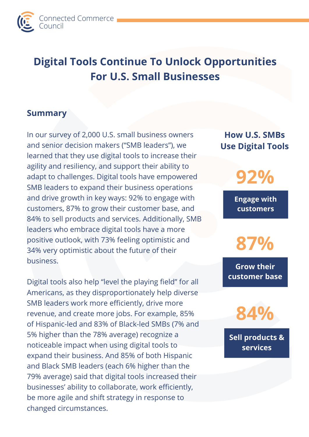

# **Digital Tools Continue To Unlock Opportunities For U.S. Small Businesses**

#### **Summary**

In our survey of 2,000 U.S. small business owners and senior decision makers ("SMB leaders"), we learned that they use digital tools to increase their agility and resiliency, and support their ability to adapt to challenges. Digital tools have empowered SMB leaders to expand their business operations and drive growth in key ways: 92% to engage with customers, 87% to grow their customer base, and 84% to sell products and services. Additionally, SMB leaders who embrace digital tools have a more positive outlook, with 73% feeling optimistic and 34% very optimistic about the future of their business.

Digital tools also help "level the playing field" for all Americans, as they disproportionately help diverse SMB leaders work more efficiently, drive more revenue, and create more jobs. For example, 85% of Hispanic-led and 83% of Black-led SMBs (7% and 5% higher than the 78% average) recognize a noticeable impact when using digital tools to expand their business. And 85% of both Hispanic and Black SMB leaders (each 6% higher than the 79% average) said that digital tools increased their businesses' ability to collaborate, work efficiently, be more agile and shift strategy in response to changed circumstances.

## **How U.S. SMBs Use Digital Tools**

**92%**

**Engage with customers**

**87%**

**Grow their customer base**

**84%**

**Sell products & services**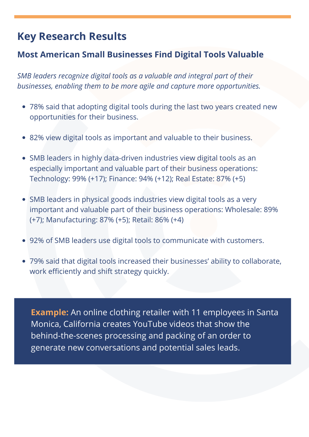# **Key Research Results**

### **Most American Small Businesses Find Digital Tools Valuable**

*SMB leaders recognize digital tools as a valuable and integral part of their businesses, enabling them to be more agile and capture more opportunities.*

- 78% said that adopting digital tools during the last two years created new opportunities for their business.
- 82% view digital tools as important and valuable to their business.
- SMB leaders in highly data-driven industries view digital tools as an especially important and valuable part of their business operations: Technology: 99% (+17); Finance: 94% (+12); Real Estate: 87% (+5)
- SMB leaders in physical goods industries view digital tools as a very important and valuable part of their business operations: Wholesale: 89% (+7); Manufacturing: 87% (+5); Retail: 86% (+4)
- 92% of SMB leaders use digital tools to communicate with customers.
- 79% said that digital tools increased their businesses' ability to collaborate, work efficiently and shift strategy quickly.

**Example:** An online clothing retailer with 11 employees in Santa Monica, California creates YouTube videos that show the behind-the-scenes processing and packing of an order to generate new conversations and potential sales leads.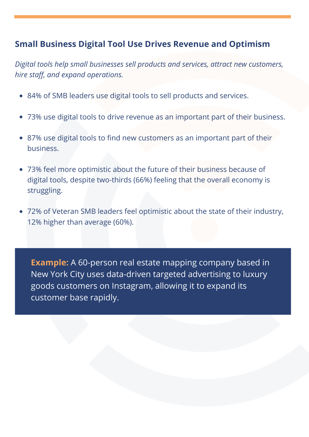### **Small Business Digital Tool Use Drives Revenue and Optimism**

*Digital tools help small businesses sell products and services, attract new customers, hire staff, and expand operations.*

- 84% of SMB leaders use digital tools to sell products and services.
- 73% use digital tools to drive revenue as an important part of their business.
- 87% use digital tools to find new customers as an important part of their business.
- 73% feel more optimistic about the future of their business because of digital tools, despite two-thirds (66%) feeling that the overall economy is struggling.
- 72% of Veteran SMB leaders feel optimistic about the state of their industry, 12% higher than average (60%).

**Example:** A 60-person real estate mapping company based in New York City uses data-driven targeted advertising to luxury goods customers on Instagram, allowing it to expand its customer base rapidly.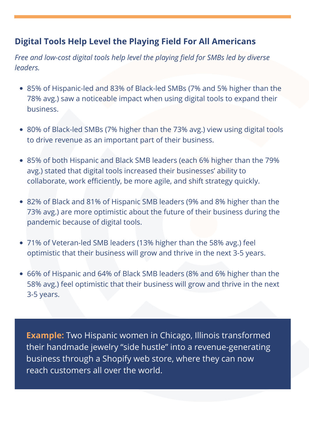### **Digital Tools Help Level the Playing Field For All Americans**

*Free and low-cost digital tools help level the playing field for SMBs led by diverse leaders.*

- 85% of Hispanic-led and 83% of Black-led SMBs (7% and 5% higher than the 78% avg.) saw a noticeable impact when using digital tools to expand their business.
- 80% of Black-led SMBs (7% higher than the 73% avg.) view using digital tools to drive revenue as an important part of their business.
- 85% of both Hispanic and Black SMB leaders (each 6% higher than the 79% avg.) stated that digital tools increased their businesses' ability to collaborate, work efficiently, be more agile, and shift strategy quickly.
- 82% of Black and 81% of Hispanic SMB leaders (9% and 8% higher than the 73% avg.) are more optimistic about the future of their business during the pandemic because of digital tools.
- 71% of Veteran-led SMB leaders (13% higher than the 58% avg.) feel optimistic that their business will grow and thrive in the next 3-5 years.
- 66% of Hispanic and 64% of Black SMB leaders (8% and 6% higher than the 58% avg.) feel optimistic that their business will grow and thrive in the next 3-5 years.

**Example:** Two Hispanic women in Chicago, Illinois transformed their handmade jewelry "side hustle" into a revenue-generating business through a Shopify web store, where they can now reach customers all over the world.